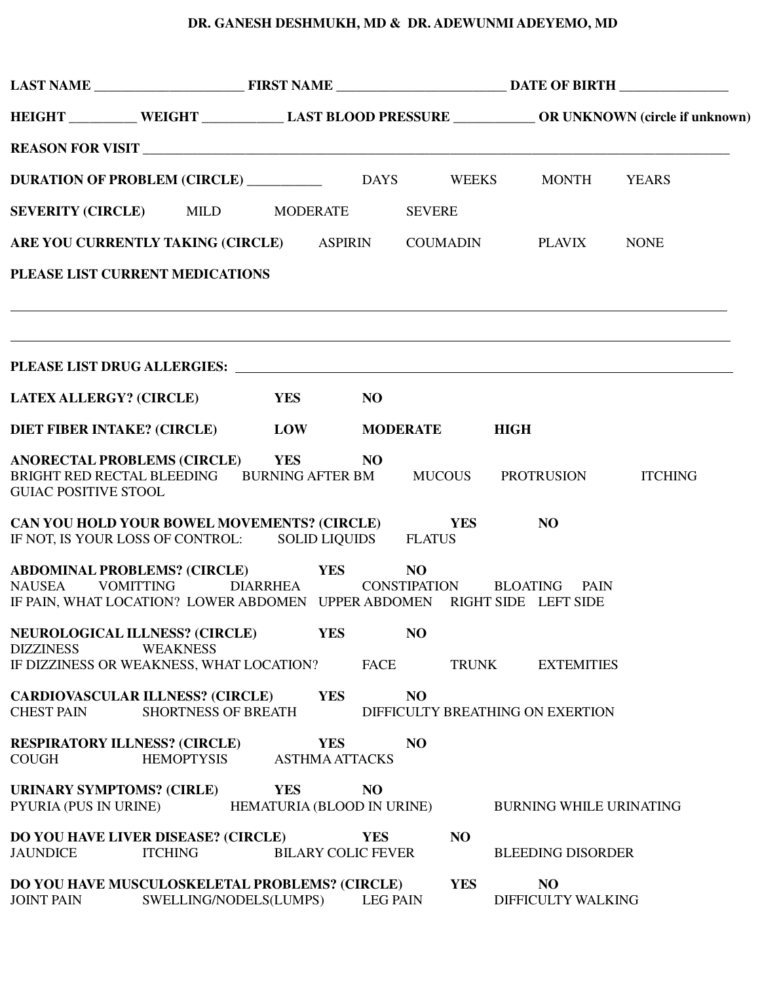## **DR. GANESH DESHMUKH, MD & DR. ADEWUNMI ADEYEMO, MD**

|                                                           |                                                                                                                                                        |                                          |                 |                | HEIGHT _________ WEIGHT ___________ LAST BLOOD PRESSURE __________ OR UNKNOWN (circle if unknown) |  |                                      |  |
|-----------------------------------------------------------|--------------------------------------------------------------------------------------------------------------------------------------------------------|------------------------------------------|-----------------|----------------|---------------------------------------------------------------------------------------------------|--|--------------------------------------|--|
|                                                           |                                                                                                                                                        |                                          |                 |                |                                                                                                   |  |                                      |  |
|                                                           |                                                                                                                                                        |                                          |                 |                |                                                                                                   |  |                                      |  |
|                                                           | SEVERITY (CIRCLE) MILD MODERATE                                                                                                                        |                                          |                 | <b>SEVERE</b>  |                                                                                                   |  |                                      |  |
|                                                           | ARE YOU CURRENTLY TAKING (CIRCLE) ASPIRIN COUMADIN PLAVIX NONE                                                                                         |                                          |                 |                |                                                                                                   |  |                                      |  |
|                                                           | PLEASE LIST CURRENT MEDICATIONS                                                                                                                        |                                          |                 |                |                                                                                                   |  |                                      |  |
|                                                           | <u> 1989 - Andrea Barbara, Amerikaansk politik (d. 1989)</u>                                                                                           |                                          |                 |                |                                                                                                   |  |                                      |  |
|                                                           |                                                                                                                                                        |                                          |                 |                |                                                                                                   |  |                                      |  |
| <b>LATEX ALLERGY? (CIRCLE)</b>                            |                                                                                                                                                        | YES                                      | <b>NO</b>       |                |                                                                                                   |  |                                      |  |
| <b>DIET FIBER INTAKE? (CIRCLE)</b>                        |                                                                                                                                                        | <b>LOW MODERATE HIGH</b>                 |                 |                |                                                                                                   |  |                                      |  |
| <b>GUIAC POSITIVE STOOL</b>                               | ANORECTAL PROBLEMS (CIRCLE) YES<br>BRIGHT RED RECTAL BLEEDING BURNING AFTER BM MUCOUS PROTRUSION ITCHING                                               |                                          | NO              |                |                                                                                                   |  |                                      |  |
|                                                           | CAN YOU HOLD YOUR BOWEL MOVEMENTS? (CIRCLE) YES<br>IF NOT, IS YOUR LOSS OF CONTROL: SOLID LIQUIDS FLATUS                                               |                                          |                 |                |                                                                                                   |  | N <sub>O</sub>                       |  |
| <b>VOMITTING</b><br>NAUSEA                                | ABDOMINAL PROBLEMS? (CIRCLE) YES NO<br>DIARRHEA CONSTIPATION BLOATING PAIN<br>IF PAIN, WHAT LOCATION? LOWER ABDOMEN UPPER ABDOMEN RIGHT SIDE LEFT SIDE |                                          |                 |                |                                                                                                   |  |                                      |  |
| NEUROLOGICAL ILLNESS? (CIRCLE)<br><b>DIZZINESS</b>        | <b>WEAKNESS</b><br>IF DIZZINESS OR WEAKNESS, WHAT LOCATION?                                                                                            | <b>YES</b>                               | <b>FACE</b>     | NO             | <b>TRUNK</b>                                                                                      |  | <b>EXTEMITIES</b>                    |  |
| <b>CHEST PAIN</b>                                         | <b>CARDIOVASCULAR ILLNESS? (CIRCLE)</b><br><b>SHORTNESS OF BREATH</b>                                                                                  | <b>YES</b>                               |                 | N <sub>O</sub> |                                                                                                   |  | DIFFICULTY BREATHING ON EXERTION     |  |
| <b>RESPIRATORY ILLNESS? (CIRCLE)</b><br><b>COUGH</b>      | <b>HEMOPTYSIS</b>                                                                                                                                      | <b>YES</b><br><b>ASTHMA ATTACKS</b>      |                 | N <sub>O</sub> |                                                                                                   |  |                                      |  |
| <b>URINARY SYMPTOMS? (CIRLE)</b><br>PYURIA (PUS IN URINE) |                                                                                                                                                        | <b>YES</b><br>HEMATURIA (BLOOD IN URINE) | N <sub>O</sub>  |                |                                                                                                   |  | <b>BURNING WHILE URINATING</b>       |  |
| <b>JAUNDICE</b>                                           | DO YOU HAVE LIVER DISEASE? (CIRCLE)<br><b>ITCHING</b>                                                                                                  | <b>BILARY COLIC FEVER</b>                | <b>YES</b>      |                | NO                                                                                                |  | <b>BLEEDING DISORDER</b>             |  |
| <b>JOINT PAIN</b>                                         | DO YOU HAVE MUSCULOSKELETAL PROBLEMS? (CIRCLE)<br>SWELLING/NODELS(LUMPS)                                                                               |                                          | <b>LEG PAIN</b> |                | <b>YES</b>                                                                                        |  | N <sub>O</sub><br>DIFFICULTY WALKING |  |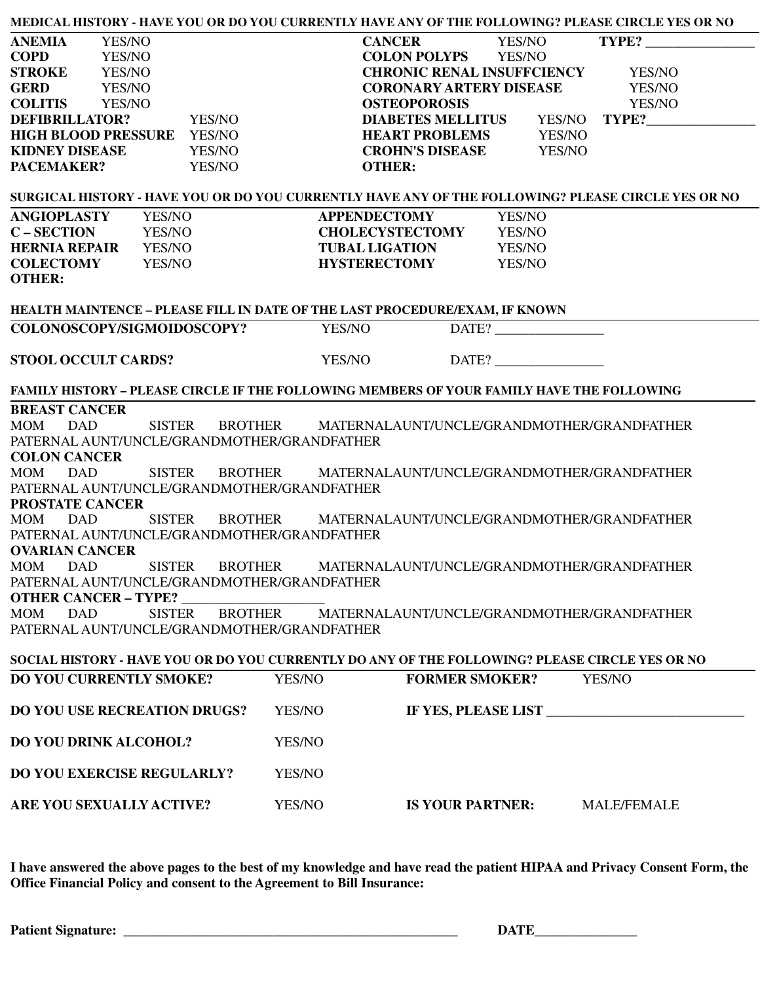| MEDICAL HISTORY - HAVE YOU OR DO YOU CURRENTLY HAVE ANY OF THE FOLLOWING? PLEASE CIRCLE YES OR NO  |        |                                                    |               |                     |  |
|----------------------------------------------------------------------------------------------------|--------|----------------------------------------------------|---------------|---------------------|--|
| <b>ANEMIA</b><br>YES/NO                                                                            |        | <b>CANCER</b>                                      | <b>YES/NO</b> | TYPE?               |  |
| <b>COPD</b><br>YES/NO                                                                              |        | <b>COLON POLYPS</b>                                | YES/NO        |                     |  |
| <b>STROKE</b><br>YES/NO                                                                            |        | <b>CHRONIC RENAL INSUFFCIENCY</b>                  |               | YES/NO              |  |
| <b>GERD</b><br>YES/NO                                                                              |        | <b>CORONARY ARTERY DISEASE</b>                     |               | YES/NO              |  |
| <b>COLITIS</b><br>YES/NO                                                                           |        | <b>OSTEOPOROSIS</b>                                |               | YES/NO              |  |
| <b>DEFIBRILLATOR?</b><br>YES/NO                                                                    |        | <b>DIABETES MELLITUS</b>                           | YES/NO        | TYPE?               |  |
| <b>HIGH BLOOD PRESSURE</b><br>YES/NO                                                               |        | <b>HEART PROBLEMS</b>                              | YES/NO        |                     |  |
| <b>KIDNEY DISEASE</b><br>YES/NO                                                                    |        | <b>CROHN'S DISEASE</b>                             | YES/NO        |                     |  |
| PACEMAKER?<br>YES/NO                                                                               |        | <b>OTHER:</b>                                      |               |                     |  |
| SURGICAL HISTORY - HAVE YOU OR DO YOU CURRENTLY HAVE ANY OF THE FOLLOWING? PLEASE CIRCLE YES OR NO |        |                                                    |               |                     |  |
| <b>ANGIOPLASTY</b><br>YES/NO                                                                       |        | <b>APPENDECTOMY</b>                                | YES/NO        |                     |  |
| <b>C-SECTION</b><br>YES/NO                                                                         |        | <b>CHOLECYSTECTOMY</b>                             | YES/NO        |                     |  |
| <b>HERNIA REPAIR</b><br>YES/NO                                                                     |        | <b>TUBAL LIGATION</b>                              | YES/NO        |                     |  |
| <b>COLECTOMY</b><br>YES/NO                                                                         |        | <b>HYSTERECTOMY</b>                                | <b>YES/NO</b> |                     |  |
| <b>OTHER:</b>                                                                                      |        |                                                    |               |                     |  |
| HEALTH MAINTENCE - PLEASE FILL IN DATE OF THE LAST PROCEDURE/EXAM, IF KNOWN                        |        |                                                    |               |                     |  |
| COLONOSCOPY/SIGMOIDOSCOPY?                                                                         | YES/NO |                                                    | DATE?         |                     |  |
| <b>STOOL OCCULT CARDS?</b>                                                                         | YES/NO |                                                    | DATE?         |                     |  |
| FAMILY HISTORY - PLEASE CIRCLE IF THE FOLLOWING MEMBERS OF YOUR FAMILY HAVE THE FOLLOWING          |        |                                                    |               |                     |  |
| <b>BREAST CANCER</b>                                                                               |        |                                                    |               |                     |  |
| <b>MOM</b><br><b>DAD</b><br><b>SISTER</b>                                                          |        | BROTHER MATERNALAUNT/UNCLE/GRANDMOTHER/GRANDFATHER |               |                     |  |
| PATERNAL AUNT/UNCLE/GRANDMOTHER/GRANDFATHER                                                        |        |                                                    |               |                     |  |
| <b>COLON CANCER</b>                                                                                |        |                                                    |               |                     |  |
| <b>MOM</b><br><b>DAD</b><br><b>SISTER</b><br><b>BROTHER</b>                                        |        | MATERNALAUNT/UNCLE/GRANDMOTHER/GRANDFATHER         |               |                     |  |
| PATERNAL AUNT/UNCLE/GRANDMOTHER/GRANDFATHER                                                        |        |                                                    |               |                     |  |
| <b>PROSTATE CANCER</b>                                                                             |        |                                                    |               |                     |  |
| <b>MOM</b><br><b>SISTER</b><br><b>DAD</b><br><b>BROTHER</b>                                        |        | MATERNALAUNT/UNCLE/GRANDMOTHER/GRANDFATHER         |               |                     |  |
| PATERNAL AUNT/UNCLE/GRANDMOTHER/GRANDFATHER                                                        |        |                                                    |               |                     |  |
| <b>OVARIAN CANCER</b>                                                                              |        |                                                    |               |                     |  |
| MOM DAD SISTER BROTHER MATERNALAUNT/UNCLE/GRANDMOTHER/GRANDFATHER                                  |        |                                                    |               |                     |  |
| PATERNAL AUNT/UNCLE/GRANDMOTHER/GRANDFATHER                                                        |        |                                                    |               |                     |  |
| <b>OTHER CANCER - TYPE?</b><br><b>BROTHER</b>                                                      |        | MATERNALAUNT/UNCLE/GRANDMOTHER/GRANDFATHER         |               |                     |  |
| <b>DAD</b><br><b>SISTER</b><br><b>MOM</b><br>PATERNAL AUNT/UNCLE/GRANDMOTHER/GRANDFATHER           |        |                                                    |               |                     |  |
|                                                                                                    |        |                                                    |               |                     |  |
| SOCIAL HISTORY - HAVE YOU OR DO YOU CURRENTLY DO ANY OF THE FOLLOWING? PLEASE CIRCLE YES OR NO     |        |                                                    |               |                     |  |
| <b>DO YOU CURRENTLY SMOKE?</b>                                                                     | YES/NO | <b>FORMER SMOKER?</b>                              |               | YES/NO              |  |
| <b>DO YOU USE RECREATION DRUGS?</b>                                                                | YES/NO |                                                    |               | IF YES, PLEASE LIST |  |
| <b>DO YOU DRINK ALCOHOL?</b>                                                                       | YES/NO |                                                    |               |                     |  |
| <b>DO YOU EXERCISE REGULARLY?</b>                                                                  | YES/NO |                                                    |               |                     |  |
| ARE YOU SEXUALLY ACTIVE?                                                                           | YES/NO | <b>IS YOUR PARTNER:</b>                            |               | <b>MALE/FEMALE</b>  |  |

**I have answered the above pages to the best of my knowledge and have read the patient HIPAA and Privacy Consent Form, the Office Financial Policy and consent to the Agreement to Bill Insurance:**

**Patient Signature: \_\_\_\_\_\_\_\_\_\_\_\_\_\_\_\_\_\_\_\_\_\_\_\_\_\_\_\_\_\_\_\_\_\_\_\_\_\_\_\_\_\_\_\_\_\_\_\_\_ DATE\_\_\_\_\_\_\_\_\_\_\_\_\_\_\_**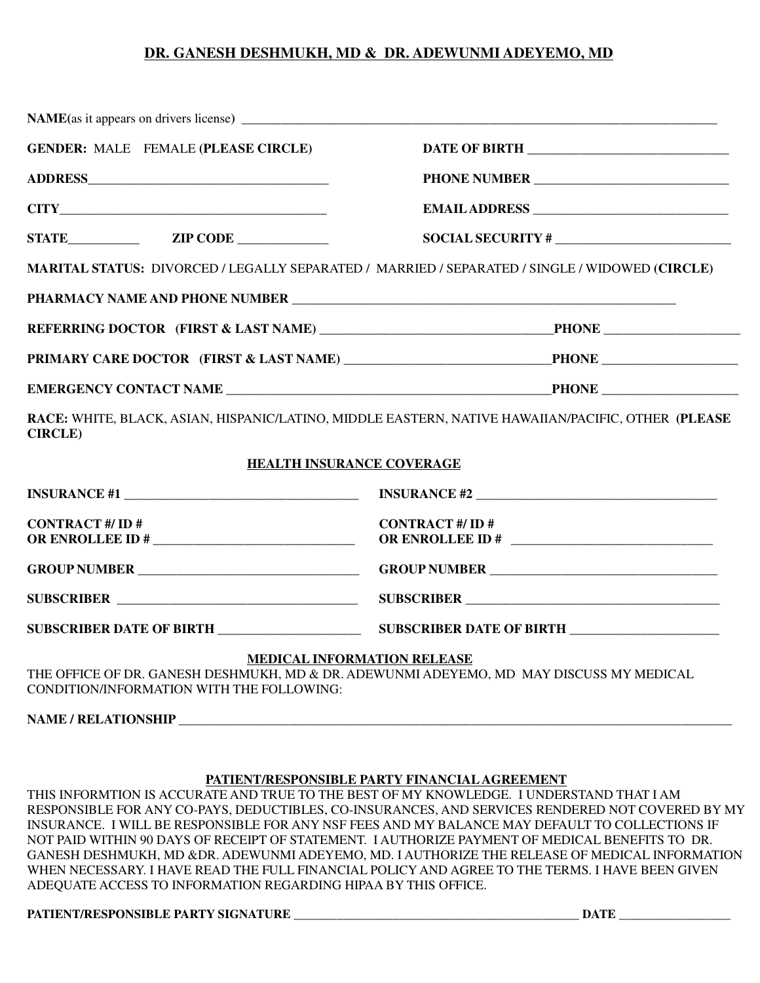## **DR. GANESH DESHMUKH, MD & DR. ADEWUNMI ADEYEMO, MD**

| <b>GENDER: MALE FEMALE (PLEASE CIRCLE)</b> |                                                                                                                               |  |  |  |
|--------------------------------------------|-------------------------------------------------------------------------------------------------------------------------------|--|--|--|
|                                            |                                                                                                                               |  |  |  |
| CITY                                       |                                                                                                                               |  |  |  |
|                                            |                                                                                                                               |  |  |  |
|                                            | MARITAL STATUS: DIVORCED / LEGALLY SEPARATED / MARRIED / SEPARATED / SINGLE / WIDOWED (CIRCLE)                                |  |  |  |
|                                            |                                                                                                                               |  |  |  |
|                                            |                                                                                                                               |  |  |  |
|                                            | PRIMARY CARE DOCTOR (FIRST & LAST NAME) _________________________________PHONE _____________________                          |  |  |  |
|                                            |                                                                                                                               |  |  |  |
| <b>CIRCLE</b> )                            | RACE: WHITE, BLACK, ASIAN, HISPANIC/LATINO, MIDDLE EASTERN, NATIVE HAWAIIAN/PACIFIC, OTHER (PLEASE                            |  |  |  |
| <b>HEALTH INSURANCE COVERAGE</b>           |                                                                                                                               |  |  |  |
|                                            |                                                                                                                               |  |  |  |
| <b>CONTRACT #/ ID #</b>                    | <b>CONTRACT #/ ID #</b><br>OR ENROLLEE ID # $\qquad \qquad$                                                                   |  |  |  |
|                                            |                                                                                                                               |  |  |  |
|                                            |                                                                                                                               |  |  |  |
|                                            |                                                                                                                               |  |  |  |
| CONDITION/INFORMATION WITH THE FOLLOWING:  | <b>MEDICAL INFORMATION RELEASE</b><br>THE OFFICE OF DR. GANESH DESHMUKH, MD & DR. ADEWUNMI ADEYEMO, MD MAY DISCUSS MY MEDICAL |  |  |  |
|                                            |                                                                                                                               |  |  |  |

## **PATIENT/RESPONSIBLE PARTY FINANCIAL AGREEMENT**

THIS INFORMTION IS ACCURATE AND TRUE TO THE BEST OF MY KNOWLEDGE. I UNDERSTAND THAT I AM RESPONSIBLE FOR ANY CO-PAYS, DEDUCTIBLES, CO-INSURANCES, AND SERVICES RENDERED NOT COVERED BY MY INSURANCE. I WILL BE RESPONSIBLE FOR ANY NSF FEES AND MY BALANCE MAY DEFAULT TO COLLECTIONS IF NOT PAID WITHIN 90 DAYS OF RECEIPT OF STATEMENT. I AUTHORIZE PAYMENT OF MEDICAL BENEFITS TO DR. GANESH DESHMUKH, MD &DR. ADEWUNMI ADEYEMO, MD. I AUTHORIZE THE RELEASE OF MEDICAL INFORMATION WHEN NECESSARY. I HAVE READ THE FULL FINANCIAL POLICY AND AGREE TO THE TERMS. I HAVE BEEN GIVEN ADEQUATE ACCESS TO INFORMATION REGARDING HIPAA BY THIS OFFICE.

## **PATIENT/RESPONSIBLE PARTY SIGNATURE \_\_\_\_\_\_\_\_\_\_\_\_\_\_\_\_\_\_\_\_\_\_\_\_\_\_\_\_\_\_\_\_\_\_\_\_\_\_\_\_\_\_\_\_\_\_ DATE \_\_\_\_\_\_\_\_\_\_\_\_\_\_\_\_\_\_**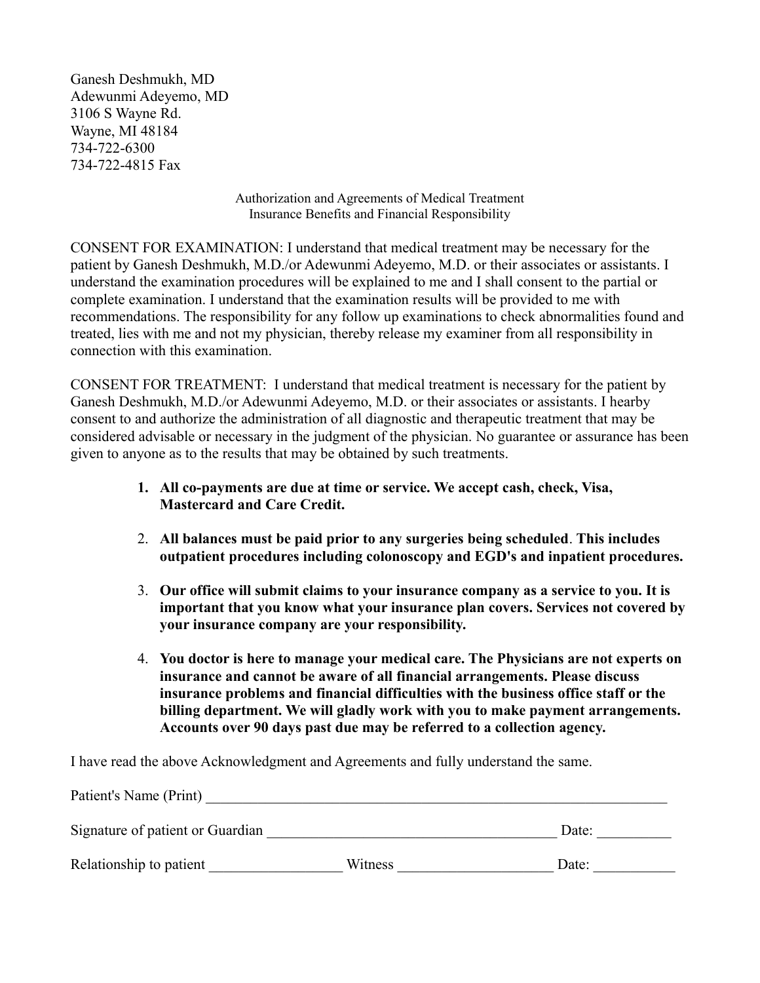Ganesh Deshmukh, MD Adewunmi Adeyemo, MD 3106 S Wayne Rd. Wayne, MI 48184 734-722-6300 734-722-4815 Fax

> Authorization and Agreements of Medical Treatment Insurance Benefits and Financial Responsibility

CONSENT FOR EXAMINATION: I understand that medical treatment may be necessary for the patient by Ganesh Deshmukh, M.D./or Adewunmi Adeyemo, M.D. or their associates or assistants. I understand the examination procedures will be explained to me and I shall consent to the partial or complete examination. I understand that the examination results will be provided to me with recommendations. The responsibility for any follow up examinations to check abnormalities found and treated, lies with me and not my physician, thereby release my examiner from all responsibility in connection with this examination.

CONSENT FOR TREATMENT: I understand that medical treatment is necessary for the patient by Ganesh Deshmukh, M.D./or Adewunmi Adeyemo, M.D. or their associates or assistants. I hearby consent to and authorize the administration of all diagnostic and therapeutic treatment that may be considered advisable or necessary in the judgment of the physician. No guarantee or assurance has been given to anyone as to the results that may be obtained by such treatments.

- **1. All co-payments are due at time or service. We accept cash, check, Visa, Mastercard and Care Credit.**
- 2. **All balances must be paid prior to any surgeries being scheduled**. **This includes outpatient procedures including colonoscopy and EGD's and inpatient procedures.**
- 3. **Our office will submit claims to your insurance company as a service to you. It is important that you know what your insurance plan covers. Services not covered by your insurance company are your responsibility.**
- 4. **You doctor is here to manage your medical care. The Physicians are not experts on insurance and cannot be aware of all financial arrangements. Please discuss insurance problems and financial difficulties with the business office staff or the billing department. We will gladly work with you to make payment arrangements. Accounts over 90 days past due may be referred to a collection agency.**

I have read the above Acknowledgment and Agreements and fully understand the same.

| Patient's Name (Print)           |         |       |  |  |  |
|----------------------------------|---------|-------|--|--|--|
| Signature of patient or Guardian |         | Date: |  |  |  |
| Relationship to patient          | Witness | Date: |  |  |  |